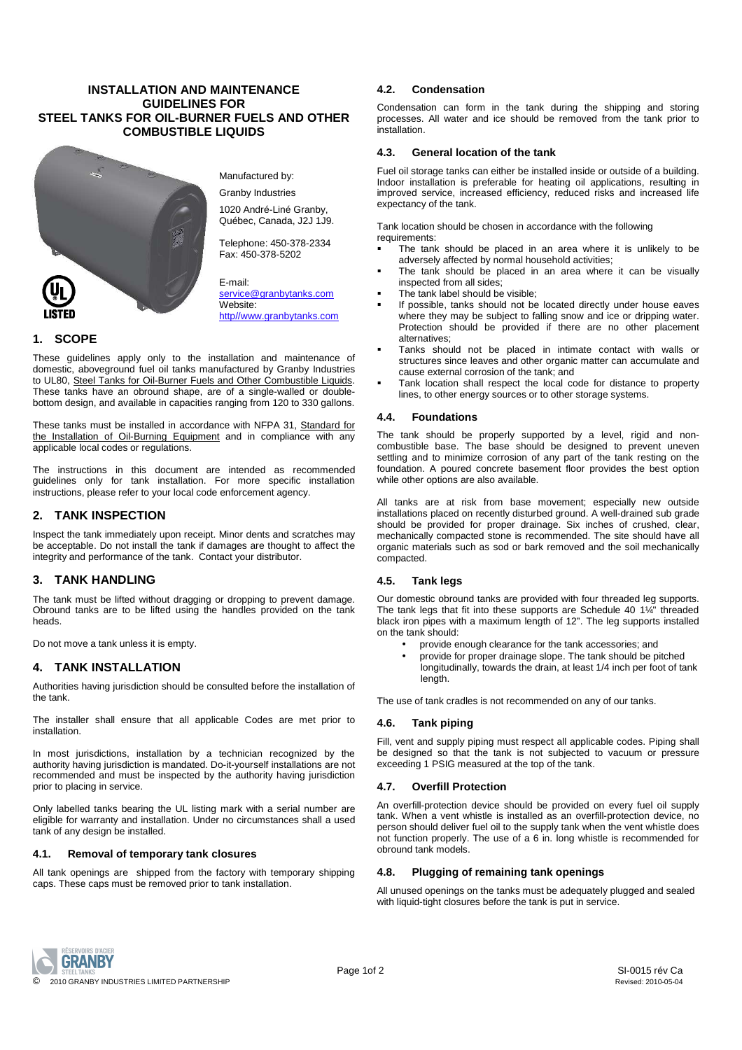## **INSTALLATION AND MAINTENANCE GUIDELINES FOR STEEL TANKS FOR OIL-BURNER FUELS AND OTHER COMBUSTIBLE LIQUIDS**



Manufactured by:

Granby Industries 1020 André-Liné Granby, Québec, Canada, J2J 1J9.

Telephone: 450-378-2334 Fax: 450-378-5202

E-mail: service@granbytanks.com Website:

http//www.granbytanks.com

# **1. SCOPE**

These guidelines apply only to the installation and maintenance of domestic, aboveground fuel oil tanks manufactured by Granby Industries to UL80, Steel Tanks for Oil-Burner Fuels and Other Combustible Liquids. These tanks have an obround shape, are of a single-walled or doublebottom design, and available in capacities ranging from 120 to 330 gallons.

These tanks must be installed in accordance with NFPA 31, Standard for the Installation of Oil-Burning Equipment and in compliance with any applicable local codes or regulations.

The instructions in this document are intended as recommended guidelines only for tank installation. For more specific installation instructions, please refer to your local code enforcement agency.

# **2. TANK INSPECTION**

Inspect the tank immediately upon receipt. Minor dents and scratches may be acceptable. Do not install the tank if damages are thought to affect the integrity and performance of the tank. Contact your distributor.

# **3. TANK HANDLING**

The tank must be lifted without dragging or dropping to prevent damage. Obround tanks are to be lifted using the handles provided on the tank heads.

Do not move a tank unless it is empty.

# **4. TANK INSTALLATION**

Authorities having jurisdiction should be consulted before the installation of the tank.

The installer shall ensure that all applicable Codes are met prior to installation.

In most jurisdictions, installation by a technician recognized by the authority having jurisdiction is mandated. Do-it-yourself installations are not recommended and must be inspected by the authority having jurisdiction prior to placing in service.

Only labelled tanks bearing the UL listing mark with a serial number are eligible for warranty and installation. Under no circumstances shall a used tank of any design be installed.

## **4.1. Removal of temporary tank closures**

All tank openings are shipped from the factory with temporary shipping caps. These caps must be removed prior to tank installation.

## **4.2. Condensation**

Condensation can form in the tank during the shipping and storing processes. All water and ice should be removed from the tank prior to installation.

### **4.3. General location of the tank**

Fuel oil storage tanks can either be installed inside or outside of a building. Indoor installation is preferable for heating oil applications, resulting in improved service, increased efficiency, reduced risks and increased life expectancy of the tank.

Tank location should be chosen in accordance with the following requirements:

- The tank should be placed in an area where it is unlikely to be adversely affected by normal household activities;
- The tank should be placed in an area where it can be visually inspected from all sides;
- The tank label should be visible;
- If possible, tanks should not be located directly under house eaves where they may be subject to falling snow and ice or dripping water. Protection should be provided if there are no other placement alternatives;
- Tanks should not be placed in intimate contact with walls or structures since leaves and other organic matter can accumulate and cause external corrosion of the tank; and
- Tank location shall respect the local code for distance to property lines, to other energy sources or to other storage systems.

## **4.4. Foundations**

The tank should be properly supported by a level, rigid and noncombustible base. The base should be designed to prevent uneven settling and to minimize corrosion of any part of the tank resting on the foundation. A poured concrete basement floor provides the best option while other options are also available.

All tanks are at risk from base movement; especially new outside installations placed on recently disturbed ground. A well-drained sub grade should be provided for proper drainage. Six inches of crushed, clear, mechanically compacted stone is recommended. The site should have all organic materials such as sod or bark removed and the soil mechanically compacted.

## **4.5. Tank legs**

Our domestic obround tanks are provided with four threaded leg supports. The tank legs that fit into these supports are Schedule 40 1¼" threaded black iron pipes with a maximum length of 12". The leg supports installed on the tank should:

- provide enough clearance for the tank accessories; and
- provide for proper drainage slope. The tank should be pitched longitudinally, towards the drain, at least 1/4 inch per foot of tank length.

The use of tank cradles is not recommended on any of our tanks.

#### **4.6. Tank piping**

Fill, vent and supply piping must respect all applicable codes. Piping shall be designed so that the tank is not subjected to vacuum or pressure exceeding 1 PSIG measured at the top of the tank.

## **4.7. Overfill Protection**

An overfill-protection device should be provided on every fuel oil supply tank. When a vent whistle is installed as an overfill-protection device, no person should deliver fuel oil to the supply tank when the vent whistle does not function properly. The use of a 6 in. long whistle is recommended for obround tank models.

## **4.8. Plugging of remaining tank openings**

All unused openings on the tanks must be adequately plugged and sealed with liquid-tight closures before the tank is put in service.